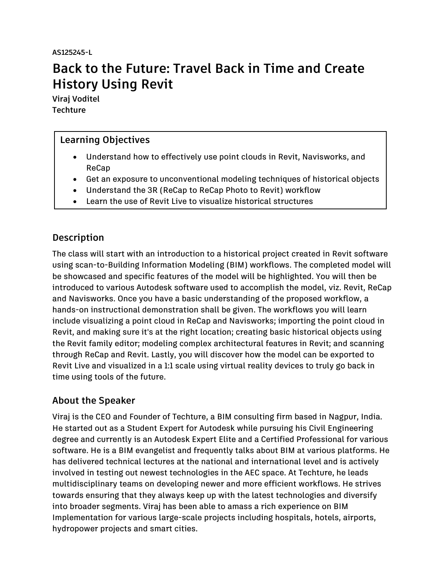**AS125245-L** 

# **Back to the Future: Travel Back in Time and Create History Using Revit**

**Viraj Voditel Techture**

# **Learning Objectives**

- Understand how to effectively use point clouds in Revit, Navisworks, and ReCap
- Get an exposure to unconventional modeling techniques of historical objects
- Understand the 3R (ReCap to ReCap Photo to Revit) workflow
- Learn the use of Revit Live to visualize historical structures

# <span id="page-0-0"></span>**Description**

The class will start with an introduction to a historical project created in Revit software using scan-to-Building Information Modeling (BIM) workflows. The completed model will be showcased and specific features of the model will be highlighted. You will then be introduced to various Autodesk software used to accomplish the model, viz. Revit, ReCap and Navisworks. Once you have a basic understanding of the proposed workflow, a hands-on instructional demonstration shall be given. The workflows you will learn include visualizing a point cloud in ReCap and Navisworks; importing the point cloud in Revit, and making sure it's at the right location; creating basic historical objects using the Revit family editor; modeling complex architectural features in Revit; and scanning through ReCap and Revit. Lastly, you will discover how the model can be exported to Revit Live and visualized in a 1:1 scale using virtual reality devices to truly go back in time using tools of the future.

# <span id="page-0-1"></span>**About the Speaker**

Viraj is the CEO and Founder of Techture, a BIM consulting firm based in Nagpur, India. He started out as a Student Expert for Autodesk while pursuing his Civil Engineering degree and currently is an Autodesk Expert Elite and a Certified Professional for various software. He is a BIM evangelist and frequently talks about BIM at various platforms. He has delivered technical lectures at the national and international level and is actively involved in testing out newest technologies in the AEC space. At Techture, he leads multidisciplinary teams on developing newer and more efficient workflows. He strives towards ensuring that they always keep up with the latest technologies and diversify into broader segments. Viraj has been able to amass a rich experience on BIM Implementation for various large-scale projects including hospitals, hotels, airports, hydropower projects and smart cities.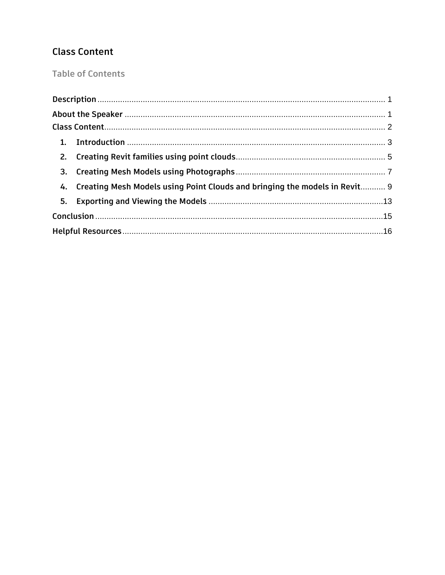# <span id="page-1-0"></span>**Class Content**

**Table of Contents** 

| 4. Creating Mesh Models using Point Clouds and bringing the models in Revit 9 |  |
|-------------------------------------------------------------------------------|--|
|                                                                               |  |
|                                                                               |  |
|                                                                               |  |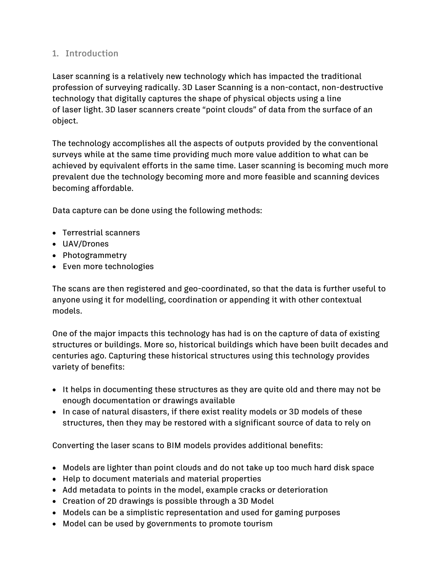# <span id="page-2-0"></span>**1. Introduction**

Laser scanning is a relatively new technology which has impacted the traditional profession of surveying radically. 3D Laser Scanning is a non-contact, non-destructive technology that digitally captures the shape of physical objects using a line of laser light. 3D laser scanners create "point clouds" of data from the surface of an object.

The technology accomplishes all the aspects of outputs provided by the conventional surveys while at the same time providing much more value addition to what can be achieved by equivalent efforts in the same time. Laser scanning is becoming much more prevalent due the technology becoming more and more feasible and scanning devices becoming affordable.

Data capture can be done using the following methods:

- Terrestrial scanners
- UAV/Drones
- Photogrammetry
- Even more technologies

The scans are then registered and geo-coordinated, so that the data is further useful to anyone using it for modelling, coordination or appending it with other contextual models.

One of the major impacts this technology has had is on the capture of data of existing structures or buildings. More so, historical buildings which have been built decades and centuries ago. Capturing these historical structures using this technology provides variety of benefits:

- It helps in documenting these structures as they are quite old and there may not be enough documentation or drawings available
- In case of natural disasters, if there exist reality models or 3D models of these structures, then they may be restored with a significant source of data to rely on

Converting the laser scans to BIM models provides additional benefits:

- Models are lighter than point clouds and do not take up too much hard disk space
- Help to document materials and material properties
- Add metadata to points in the model, example cracks or deterioration
- Creation of 2D drawings is possible through a 3D Model
- Models can be a simplistic representation and used for gaming purposes
- Model can be used by governments to promote tourism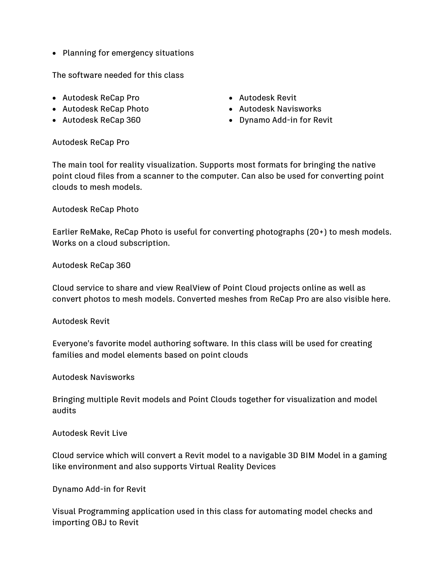• Planning for emergency situations

The software needed for this class

- Autodesk ReCap Pro
- Autodesk ReCap Photo
- Autodesk ReCap 360
- Autodesk Revit
- Autodesk Navisworks
- Dynamo Add-in for Revit

#### Autodesk ReCap Pro

The main tool for reality visualization. Supports most formats for bringing the native point cloud files from a scanner to the computer. Can also be used for converting point clouds to mesh models.

#### Autodesk ReCap Photo

Earlier ReMake, ReCap Photo is useful for converting photographs (20+) to mesh models. Works on a cloud subscription.

#### Autodesk ReCap 360

Cloud service to share and view RealView of Point Cloud projects online as well as convert photos to mesh models. Converted meshes from ReCap Pro are also visible here.

#### Autodesk Revit

Everyone's favorite model authoring software. In this class will be used for creating families and model elements based on point clouds

#### Autodesk Navisworks

Bringing multiple Revit models and Point Clouds together for visualization and model audits

#### Autodesk Revit Live

Cloud service which will convert a Revit model to a navigable 3D BIM Model in a gaming like environment and also supports Virtual Reality Devices

#### Dynamo Add-in for Revit

Visual Programming application used in this class for automating model checks and importing OBJ to Revit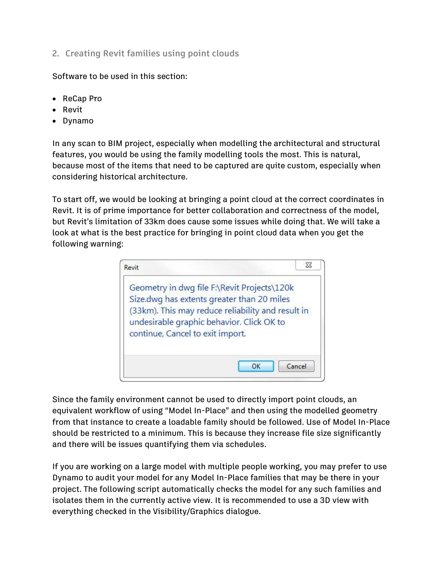<span id="page-4-0"></span>**2. Creating Revit families using point clouds**

Software to be used in this section:

- ReCap Pro
- Revit
- Dynamo

In any scan to BIM project, especially when modelling the architectural and structural features, you would be using the family modelling tools the most. This is natural, because most of the items that need to be captured are quite custom, especially when considering historical architecture.

To start off, we would be looking at bringing a point cloud at the correct coordinates in Revit. It is of prime importance for better collaboration and correctness of the model, but Revit's limitation of 33km does cause some issues while doing that. We will take a look at what is the best practice for bringing in point cloud data when you get the following warning:

| Revit                                                                                                                                                                      | 23                                                |
|----------------------------------------------------------------------------------------------------------------------------------------------------------------------------|---------------------------------------------------|
| Geometry in dwg file F:\Revit Projects\120k<br>Size.dwg has extents greater than 20 miles<br>undesirable graphic behavior. Click OK to<br>continue, Cancel to exit import. | (33km). This may reduce reliability and result in |
|                                                                                                                                                                            | Cancel<br>OK                                      |

Since the family environment cannot be used to directly import point clouds, an equivalent workflow of using "Model In-Place" and then using the modelled geometry from that instance to create a loadable family should be followed. Use of Model In-Place should be restricted to a minimum. This is because they increase file size significantly and there will be issues quantifying them via schedules.

If you are working on a large model with multiple people working, you may prefer to use Dynamo to audit your model for any Model In-Place families that may be there in your project. The following script automatically checks the model for any such families and isolates them in the currently active view. It is recommended to use a 3D view with everything checked in the Visibility/Graphics dialogue.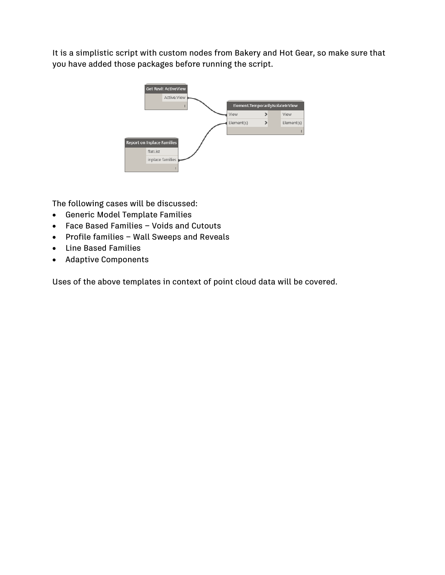It is a simplistic script with custom nodes from Bakery and Hot Gear, so make sure that you have added those packages before running the script.



The following cases will be discussed:

- Generic Model Template Families
- Face Based Families Voids and Cutouts
- Profile families Wall Sweeps and Reveals
- Line Based Families
- Adaptive Components

Uses of the above templates in context of point cloud data will be covered.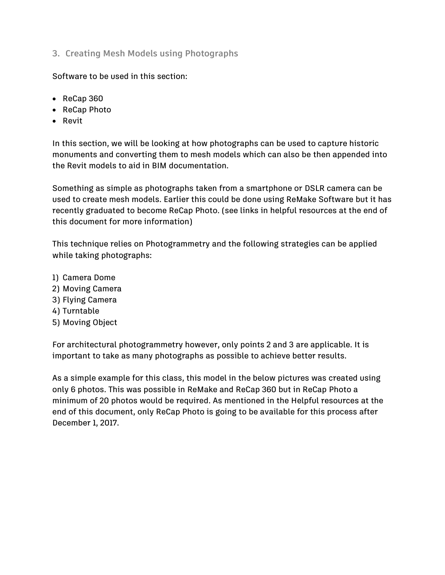<span id="page-6-0"></span>**3. Creating Mesh Models using Photographs**

Software to be used in this section:

- ReCap 360
- ReCap Photo
- Revit

In this section, we will be looking at how photographs can be used to capture historic monuments and converting them to mesh models which can also be then appended into the Revit models to aid in BIM documentation.

Something as simple as photographs taken from a smartphone or DSLR camera can be used to create mesh models. Earlier this could be done using ReMake Software but it has recently graduated to become ReCap Photo. (see links in helpful resources at the end of this document for more information)

This technique relies on Photogrammetry and the following strategies can be applied while taking photographs:

- 1) Camera Dome
- 2) Moving Camera
- 3) Flying Camera
- 4) Turntable
- 5) Moving Object

For architectural photogrammetry however, only points 2 and 3 are applicable. It is important to take as many photographs as possible to achieve better results.

As a simple example for this class, this model in the below pictures was created using only 6 photos. This was possible in ReMake and ReCap 360 but in ReCap Photo a minimum of 20 photos would be required. As mentioned in the Helpful resources at the end of this document, only ReCap Photo is going to be available for this process after December 1, 2017.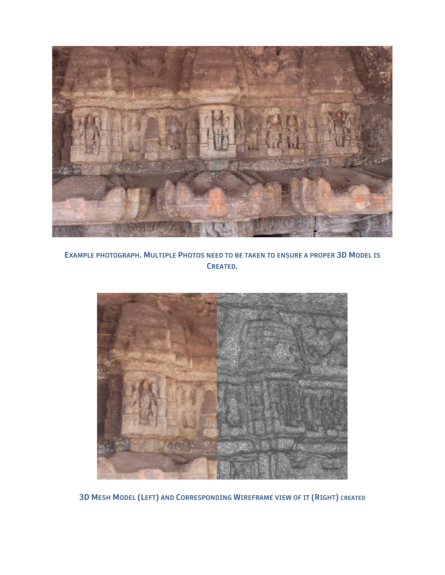

**EXAMPLE PHOTOGRAPH. MULTIPLE PHOTOS NEED TO BE TAKEN TO ENSURE A PROPER 3D MODEL IS CREATED.**



**3D MESH MODEL (LEFT) AND CORRESPONDING WIREFRAME VIEW OF IT (RIGHT) CREATED**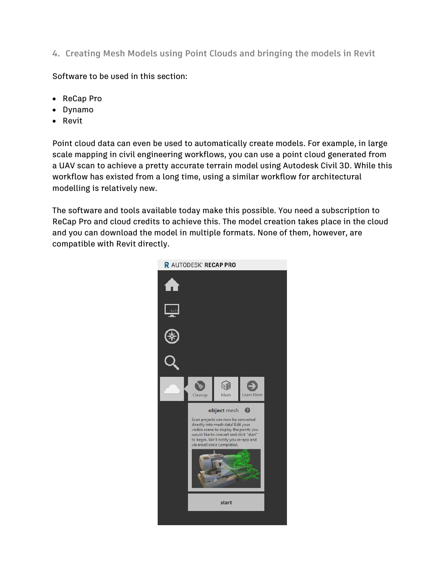<span id="page-8-0"></span>**4. Creating Mesh Models using Point Clouds and bringing the models in Revit**

Software to be used in this section:

- ReCap Pro
- Dynamo
- Revit

Point cloud data can even be used to automatically create models. For example, in large scale mapping in civil engineering workflows, you can use a point cloud generated from a UAV scan to achieve a pretty accurate terrain model using Autodesk Civil 3D. While this workflow has existed from a long time, using a similar workflow for architectural modelling is relatively new.

The software and tools available today make this possible. You need a subscription to ReCap Pro and cloud credits to achieve this. The model creation takes place in the cloud and you can download the model in multiple formats. None of them, however, are compatible with Revit directly.

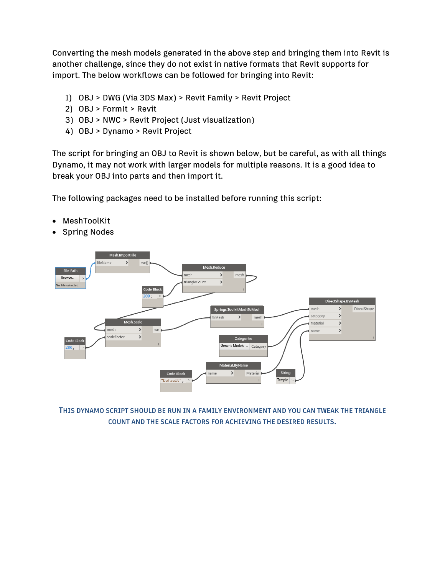Converting the mesh models generated in the above step and bringing them into Revit is another challenge, since they do not exist in native formats that Revit supports for import. The below workflows can be followed for bringing into Revit:

- 1) OBJ > DWG (Via 3DS Max) > Revit Family > Revit Project
- 2) OBJ > FormIt > Revit
- 3) OBJ > NWC > Revit Project (Just visualization)
- 4) OBJ > Dynamo > Revit Project

The script for bringing an OBJ to Revit is shown below, but be careful, as with all things Dynamo, it may not work with larger models for multiple reasons. It is a good idea to break your OBJ into parts and then import it.

The following packages need to be installed before running this script:

- MeshToolKit
- Spring Nodes



**THIS DYNAMO SCRIPT SHOULD BE RUN IN A FAMILY ENVIRONMENT AND YOU CAN TWEAK THE TRIANGLE COUNT AND THE SCALE FACTORS FOR ACHIEVING THE DESIRED RESULTS.**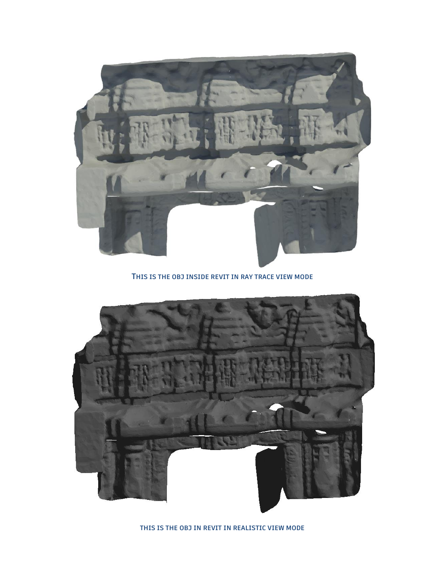

#### **THIS IS THE OBJ INSIDE REVIT IN RAY TRACE VIEW MODE**



**THIS IS THE OBJ IN REVIT IN REALISTIC VIEW MODE**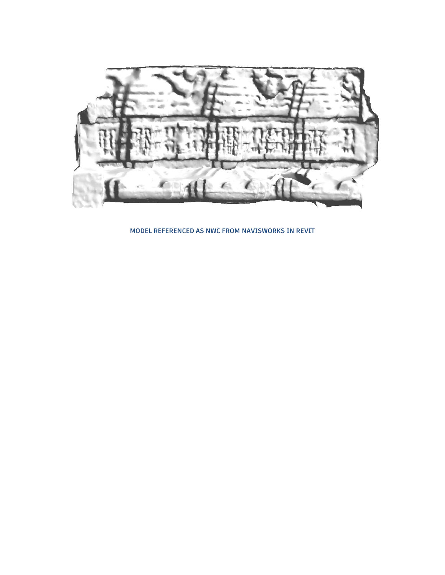

**MODEL REFERENCED AS NWC FROM NAVISWORKS IN REVIT**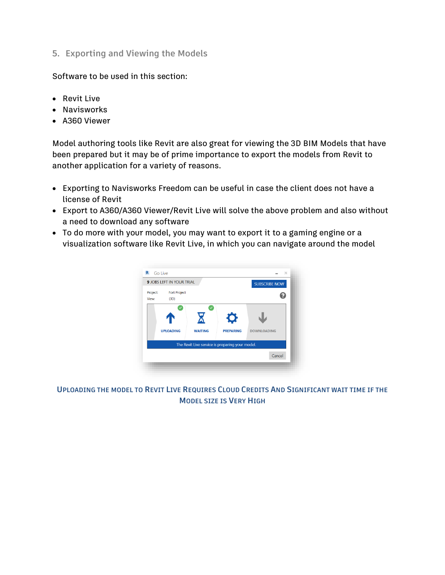<span id="page-12-0"></span>**5. Exporting and Viewing the Models**

Software to be used in this section:

- Revit Live
- Navisworks
- A360 Viewer

Model authoring tools like Revit are also great for viewing the 3D BIM Models that have been prepared but it may be of prime importance to export the models from Revit to another application for a variety of reasons.

- Exporting to Navisworks Freedom can be useful in case the client does not have a license of Revit
- Export to A360/A360 Viewer/Revit Live will solve the above problem and also without a need to download any software
- To do more with your model, you may want to export it to a gaming engine or a visualization software like Revit Live, in which you can navigate around the model



**UPLOADING THE MODEL TO REVIT LIVE REQUIRES CLOUD CREDITS AND SIGNIFICANT WAIT TIME IF THE MODEL SIZE IS VERY HIGH**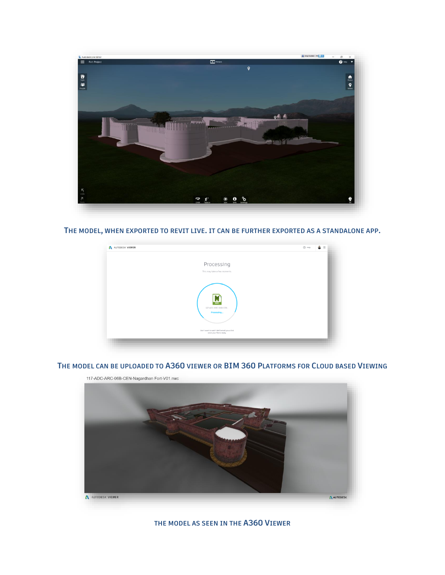

**THE MODEL, WHEN EXPORTED TO REVIT LIVE. IT CAN BE FURTHER EXPORTED AS A STANDALONE APP.**

| AUTODESK' VIEWER |                                                                                                                   | $\bullet =$<br>$\bigcirc$ Help |
|------------------|-------------------------------------------------------------------------------------------------------------------|--------------------------------|
|                  | Processing                                                                                                        |                                |
|                  | This may take a few moments.                                                                                      |                                |
|                  | M<br>117-ADC-ARC-06B-CEN.<br>Processing<br>Don't want to wait? We'll email you a link<br>once your file is ready. |                                |

# **THE MODEL CAN BE UPLOADED TO A360 VIEWER OR BIM 360 PLATFORMS FOR CLOUD BASED VIEWING**



**THE MODEL AS SEEN IN THE A360 VIEWER**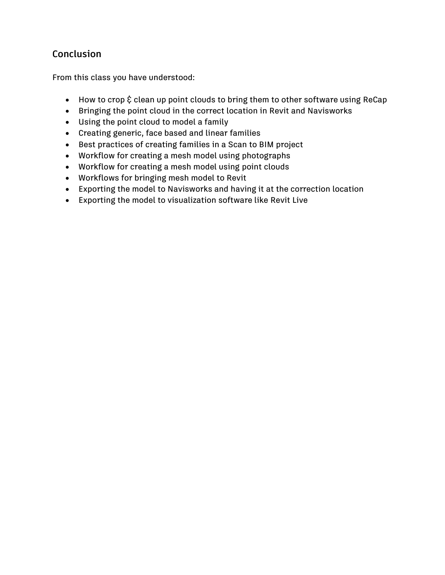# <span id="page-14-0"></span>**Conclusion**

From this class you have understood:

- How to crop  $\xi$  clean up point clouds to bring them to other software using ReCap
- Bringing the point cloud in the correct location in Revit and Navisworks
- Using the point cloud to model a family
- Creating generic, face based and linear families
- Best practices of creating families in a Scan to BIM project
- Workflow for creating a mesh model using photographs
- Workflow for creating a mesh model using point clouds
- Workflows for bringing mesh model to Revit
- Exporting the model to Navisworks and having it at the correction location
- Exporting the model to visualization software like Revit Live